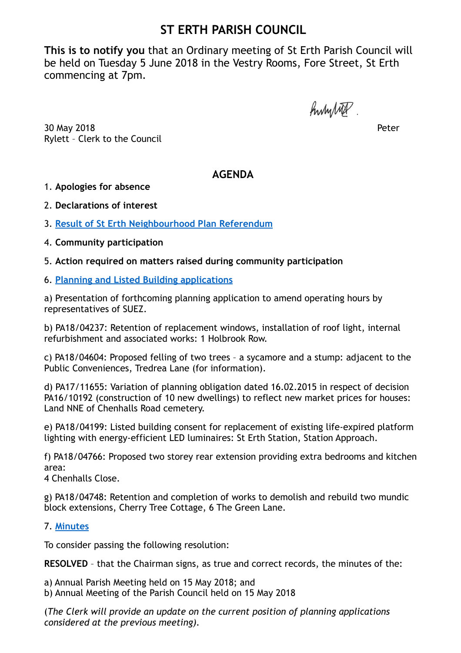## **ST ERTH PARISH COUNCIL**

**This is to notify you** that an Ordinary meeting of St Erth Parish Council will be held on Tuesday 5 June 2018 in the Vestry Rooms, Fore Street, St Erth commencing at 7pm.

hunited.

30 May 2018 Peter Rylett – Clerk to the Council

**AGENDA**

1. **Apologies for absence** 

2. **Declarations of interest** 

3. **[Result of St Erth Neighbourhood Plan Referendum](https://sterth-pc.gov.uk/wp-content/uploads/2018/06/Declaration-of-Result-of-Poll-St-Erth.pdf)**

4. **Community participation** 

5. **Action required on matters raised during community participation**

6. **[Planning and Listed Building applications](https://sterth-pc.gov.uk/planning-applications-table/)**

a) Presentation of forthcoming planning application to amend operating hours by representatives of SUEZ.

b) PA18/04237: Retention of replacement windows, installation of roof light, internal refurbishment and associated works: 1 Holbrook Row.

c) PA18/04604: Proposed felling of two trees – a sycamore and a stump: adjacent to the Public Conveniences, Tredrea Lane (for information).

d) PA17/11655: Variation of planning obligation dated 16.02.2015 in respect of decision PA16/10192 (construction of 10 new dwellings) to reflect new market prices for houses: Land NNE of Chenhalls Road cemetery.

e) PA18/04199: Listed building consent for replacement of existing life-expired platform lighting with energy-efficient LED luminaires: St Erth Station, Station Approach.

f) PA18/04766: Proposed two storey rear extension providing extra bedrooms and kitchen area:

4 Chenhalls Close.

g) PA18/04748: Retention and completion of works to demolish and rebuild two mundic block extensions, Cherry Tree Cottage, 6 The Green Lane.

## 7. **[Minutes](https://sterth-pc.gov.uk/type/minutes-2/?doing_wp_cron=1528714963.6408200263977050781250)**

To consider passing the following resolution:

**RESOLVED** – that the Chairman signs, as true and correct records, the minutes of the:

a) Annual Parish Meeting held on 15 May 2018; and b) Annual Meeting of the Parish Council held on 15 May 2018

(*The Clerk will provide an update on the current position of planning applications considered at the previous meeting).*